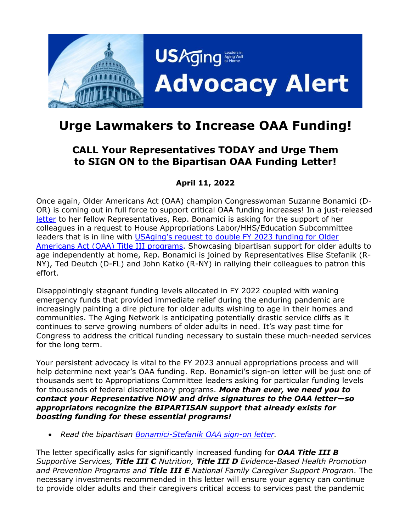

# **Urge Lawmakers to Increase OAA Funding!**

## **CALL Your Representatives TODAY and Urge Them to SIGN ON to the Bipartisan OAA Funding Letter!**

### **April 11, 2022**

Once again, Older Americans Act (OAA) champion Congresswoman Suzanne Bonamici (D-OR) is coming out in full force to support critical OAA funding increases! In a just-released [letter](https://www.usaging.org/Files/OAA_DEAR%20COLLEAGUE_FY23.pdf) to her fellow Representatives, Rep. Bonamici is asking for the support of her colleagues in a request to House Appropriations Labor/HHS/Education Subcommittee leaders that is in line with USAging's request [to double FY](https://www.usaging.org/Files/2022%20Policy%20Priorities.pdf#page=6) 2023 funding for Older [Americans Act \(OAA\) Title III programs.](https://www.usaging.org/Files/2022%20Policy%20Priorities.pdf#page=6) Showcasing bipartisan support for older adults to age independently at home, Rep. Bonamici is joined by Representatives Elise Stefanik (R-NY), Ted Deutch (D-FL) and John Katko (R-NY) in rallying their colleagues to patron this effort.

Disappointingly stagnant funding levels allocated in FY 2022 coupled with waning emergency funds that provided immediate relief during the enduring pandemic are increasingly painting a dire picture for older adults wishing to age in their homes and communities. The Aging Network is anticipating potentially drastic service cliffs as it continues to serve growing numbers of older adults in need. It's way past time for Congress to address the critical funding necessary to sustain these much-needed services for the long term.

Your persistent advocacy is vital to the FY 2023 annual appropriations process and will help determine next year's OAA funding. Rep. Bonamici's sign-on letter will be just one of thousands sent to Appropriations Committee leaders asking for particular funding levels for thousands of federal discretionary programs. *More than ever, we need you to contact your Representative NOW and drive signatures to the OAA letter—so appropriators recognize the BIPARTISAN support that already exists for boosting funding for these essential programs!* 

• *Read the bipartisan Bonamici-Stefanik [OAA sign-on letter.](https://www.usaging.org/Files/OAA_DEAR%20COLLEAGUE_FY23.pdf)*

The letter specifically asks for significantly increased funding for *OAA Title III B Supportive Services, Title III C Nutrition, Title III D Evidence-Based Health Promotion and Prevention Programs and Title III E National Family Caregiver Support Program*. The necessary investments recommended in this letter will ensure your agency can continue to provide older adults and their caregivers critical access to services past the pandemic